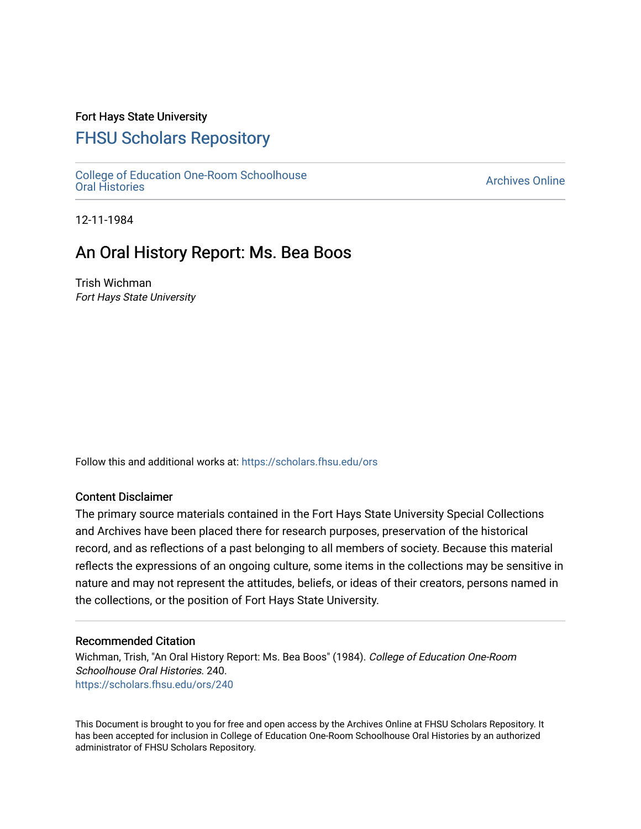# Fort Hays State University

# [FHSU Scholars Repository](https://scholars.fhsu.edu/)

[College of Education One-Room Schoolhouse](https://scholars.fhsu.edu/ors)<br>Oral Histories College of Education Orle-Room Schoolhouse<br>[Oral Histories](https://scholars.fhsu.edu/ors) Archives Online

12-11-1984

# An Oral History Report: Ms. Bea Boos

Trish Wichman Fort Hays State University

Follow this and additional works at: [https://scholars.fhsu.edu/ors](https://scholars.fhsu.edu/ors?utm_source=scholars.fhsu.edu%2Fors%2F240&utm_medium=PDF&utm_campaign=PDFCoverPages) 

# Content Disclaimer

The primary source materials contained in the Fort Hays State University Special Collections and Archives have been placed there for research purposes, preservation of the historical record, and as reflections of a past belonging to all members of society. Because this material reflects the expressions of an ongoing culture, some items in the collections may be sensitive in nature and may not represent the attitudes, beliefs, or ideas of their creators, persons named in the collections, or the position of Fort Hays State University.

## Recommended Citation

Wichman, Trish, "An Oral History Report: Ms. Bea Boos" (1984). College of Education One-Room Schoolhouse Oral Histories. 240. [https://scholars.fhsu.edu/ors/240](https://scholars.fhsu.edu/ors/240?utm_source=scholars.fhsu.edu%2Fors%2F240&utm_medium=PDF&utm_campaign=PDFCoverPages) 

This Document is brought to you for free and open access by the Archives Online at FHSU Scholars Repository. It has been accepted for inclusion in College of Education One-Room Schoolhouse Oral Histories by an authorized administrator of FHSU Scholars Repository.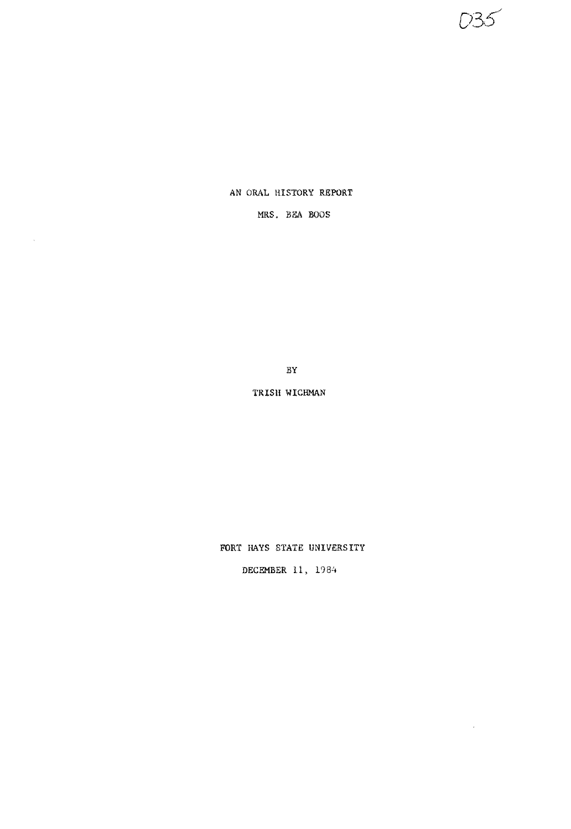フスイ

 $\sim 10^{11}$ 

## AN ORAL HISTORY REPORT

# MRS. BEA BOOS

 $\sim$ 

BY

TRISH WICHMAN

FORT HAYS STATE UNIVERSITY

DECEMBER 11, 1984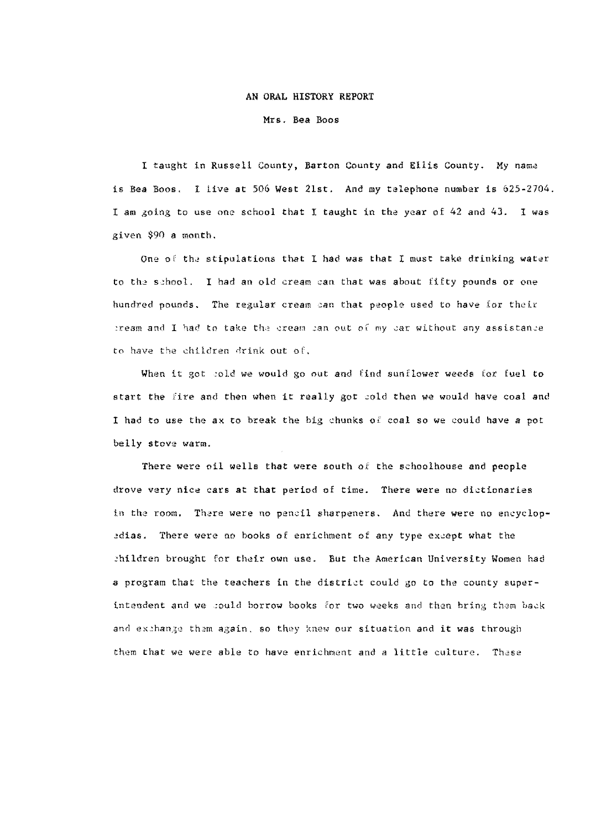#### AN ORAL HISTORY REPORT

Mrs. Bea Boos

I taught in Russell County, Barton County and Ellis County. My nama is Bea Boos. I live at 506 West 21st. And my telephone number is 625-2704. I am going to use one school that I taught in the year of 42 and 43. I was given \$90 a month.

One of the stipulations that I had was that I must take drinking water to th2 school. I had an old cream can that was about fifty pounds or one hundred pounds. The regular cream can that people used to have for their iream and I had to take the cream ian out of my car without any assistance to have the children drink out of.

When it got cold we would go out and find sunflower weeds for fuel to start the fire and then when it really got cold then we would have coal and I had to use the ax to break the big chunks of coal so we could have a pot belly stove warm.

There were oil wells that were south of the schoolhouse and people drove very nice cars at that period of time. There were no dictionaries in the room. There were no pencil sharpeners. And there were no encyclopedias. There were no books of enrichment of any type except what the children brought for their own use. But the American University Women had a program that the teachers in the district could go to the county superintendent and we sould borrow books for two weeks and then bring them back and exthange them again, so they knew our situation and it was through them that we were able to have enrichment and a little culture. These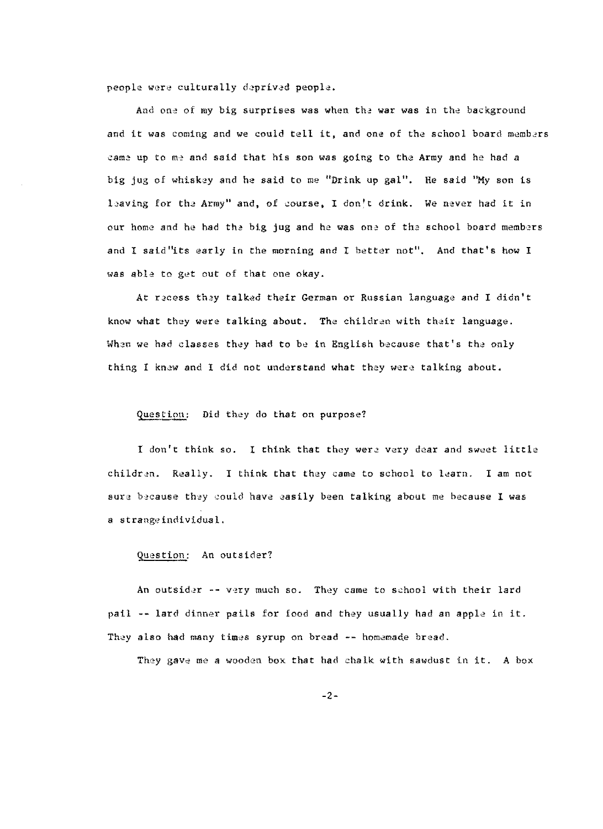people were culturally deprived people.

And one of my big surprises was when the war was in the background and it was coming and we could tell it, and one of the school board members ~ame up to me and said that his son was going to the Army and he had *a*  big jug of whiskey and he said to me "Drink up gal". He said ''My son is baving for the, Army" and, of course, I don't drink. We never had it in our home and he had the big jug and he was one of the school board members and I said "its early in the morning and I better not". And that's how <sup>I</sup> was able to get out of that one okay.

At recess they talked their German or Russian language and I didn't know what they were talking about. The children with their language. When we had classes they had to be in English because that's the only thing I knew and I did not understand what they were talking about.

## Question: Did they do that on purpose?

<sup>I</sup>don't think so. I think that they were very dear and sweet little children. Really. I think that they came to school to learn. I am not sure because they could have easily been talking about me because I was a strangeindividual.

#### Question: An outsider?

pail -- lard dinner pails for food and they usually had an apple in it. An outsider -- very much so. They came to school with their lard They also had many times syrup on bread -- homemade bread.

They gave me a wooden box that had chalk with sawdust in it. A box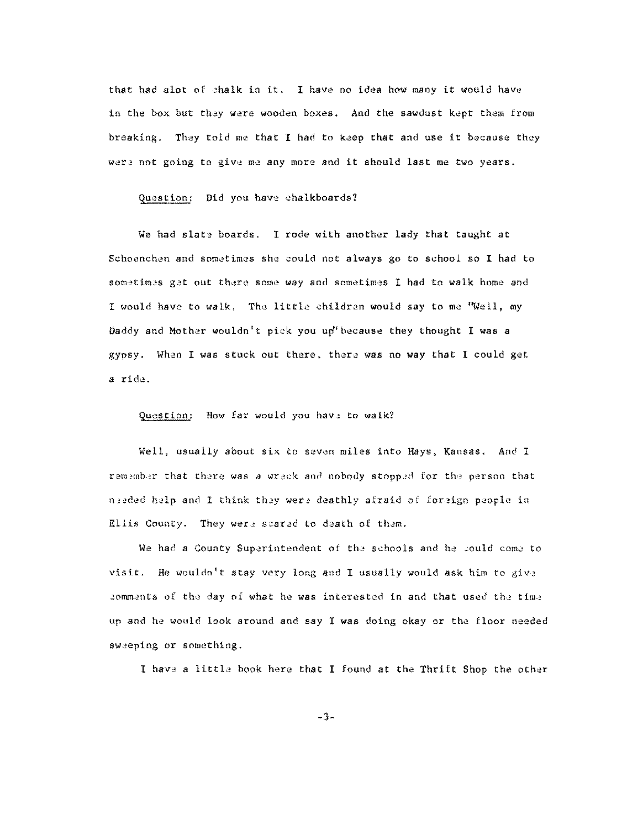that had alot of chalk in it. I have no idea how many it would have in the box but they were wooden boxes. And the sawdust kept them from breaking. They told me that I had to keep that and use it because they were not going to give me any more and it should last me two years.

### Question: Did you have chalkboards?

We had slate boards. I rode with another lady that taught at Schoenchen and sometimes she could not always go to school so I had to sometimes get out there some way and sometimes I had to walk home and I would have to walk, The little children would say to me "Well, my Daddy and Mother wouldn't pick you up'because they thought I was *a*  gypsy. When I was stuck out there, thera was no way that I could get a ride.

#### Question: How far would you have to walk?

Well, usually about six to seven miles into Hays, Kansas. And I remember that there was a wreck and nobody stopped for the person that needed help and I think they were deathly afraid of foreign people in Ellis County. They were scared to death of them.

We had a County Superintendent of the schools and he could come to visit. He wouldn't stay very long and I usually would ask him to give .:omments of the day of what he was interested in and that used the time up and he would look around and say I was doing okay or the floor needed sw2eping or something.

I have a little book here that I found at the Thrift Shop the other

-3-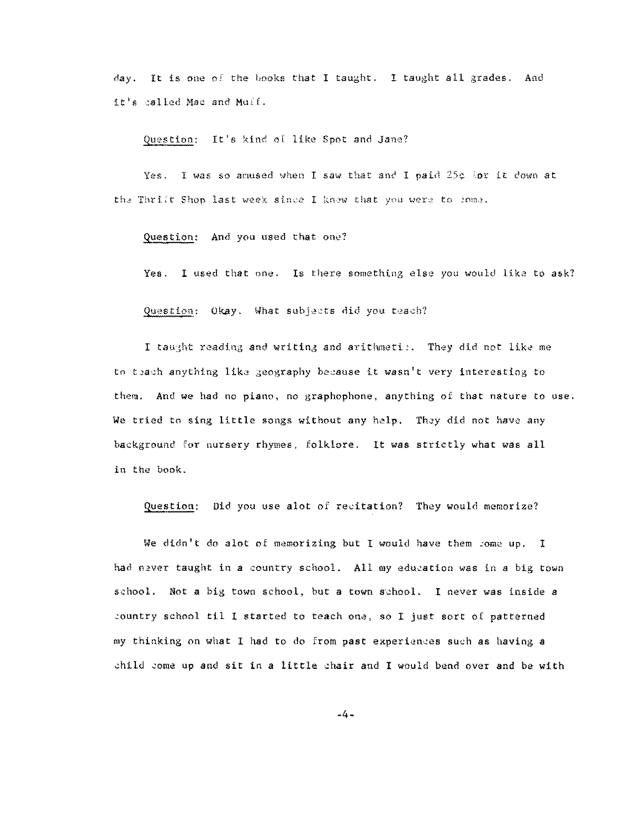day. It is one of the books that I taught. I taught all grades. And it's called Mac and Mulf.

Question: It's kind of like Spot and Jane?

Yes. I was so amused when I saw that and I paid 25¢ for it down at the Thrift Shop last week since I knew that you were to 20ma.

Question: And you used that one?

Yes. I used that one. Is there something else you would like to ask?

Question: Okay. What subjects did you teach?

I taught reading and writing and arithmeti;. They did not like me to teach anything like geography because it wasn't very interesting to them. And we had no piano, no graphophone, anything of that nature to use. We tried to sing little songs without any help. They did not have any background for nursery rhymes, folklore. It was strictly what was all in the book.

Question: Did you use alot of recitation? They would memorize?

We didn't do alot of memorizing but I would have them some up. I had never taught in a country school. All my education was in a big town school. Not a big town school, but a town school. I never was inside a ,ountry school til I started to teach one, so I just sort of patterned my thinking on what I had to do from past experiences such as having a child come up and sit in a little chair and I would bend over and be with

-4-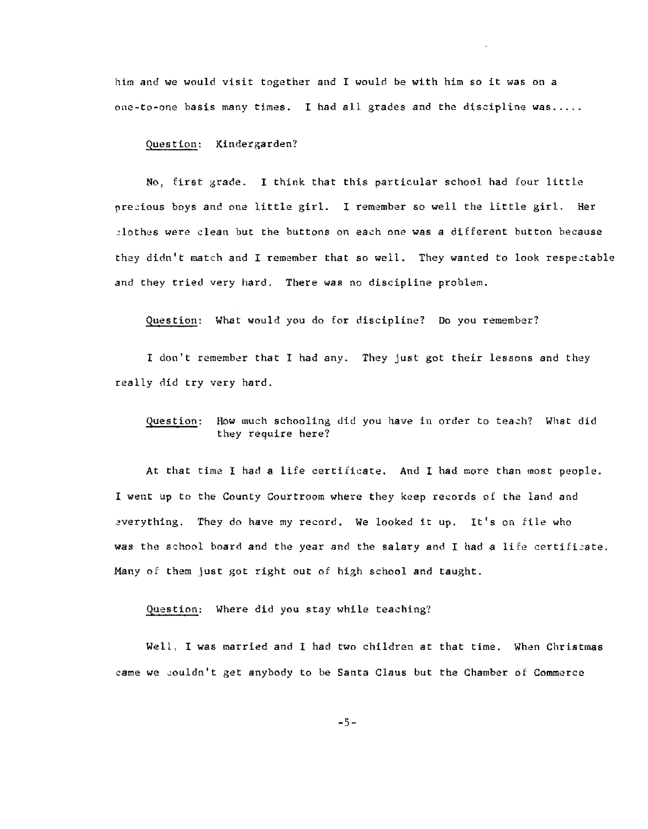him and we would visit together and I would be with him so it was on a  $one-to-one$  basis many times. I had all grades and the discipline was.....

#### Question: Kindergarden?

No, first grade. I think that this particular school had four little precious boys and one little girl. I remember so well the little girl. Her :lothes were clean but the buttons on each one was a different button because they didn't match and I remember that so well. They wanted to look respectable and they tried very hard. There was no discipline problem.

Question: What would you do for discipline? Do you remember?

I don't remember that I had any. They just got their lessons and they really did try very hard.

### Question: How much schooling did you have in order to teach? What did they require here?

At that time I had a life certificate. And I had more than most people. I went up to the County Courtroom where they keep records of the land and everything. They do have my record. We looked it up. It's on file who was the school board and the year and the salary and I had a life certificate. Many of them Just got right out of high school and taught.

#### Question: Where did you stay while teaching?

Well. I was married and I had two children at that time. When Christmas came we couldn't get anybody to be Santa Claus but the Chamber of Commerce

 $-5-$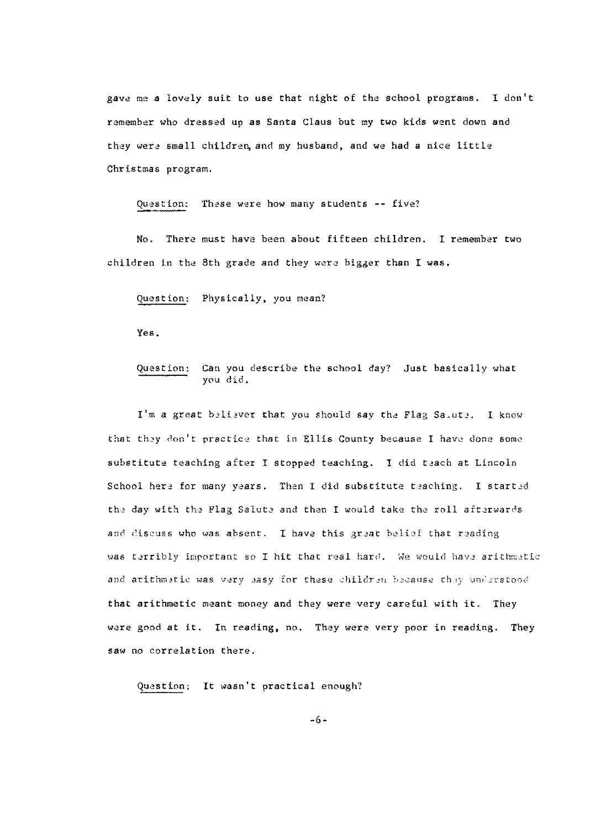gave me a lovely suit to use that night of the school programs. I don't remember who dressed up as Santa Claus but my two kids went down and they were small children, and my husband, and we had a nice little Christmas program.

Question: These were how many students -- five?

No. There must have been about fifteen children. I remember two children in the 8th grade and they were bigger than I was,

Question: Physically, you mean?

Yes.

## Question: Can you describe the school day? Just basically what y0u did.

I'm a great believer that you should say the Flag Sauute. I know that they don't practice that in Ellis County because I have done some substitute teaching after I stopped teaching. I did teach at Lincoln School here for many years. Then I did substitute teaching. I started the day with the Flag Salute and then I would take the roll afterwards and discuss who was absent. I have this great belief that reading was terribly important so I hit that real hard. We would have arithmetic and arithmetic was very easy for these children because they understood that arithmetic meant money and they were very careful with it. They were good at it. In reading, no. They were very poor in reading. They saw no correlation there.

Question; It wasn't practical enough?

-6-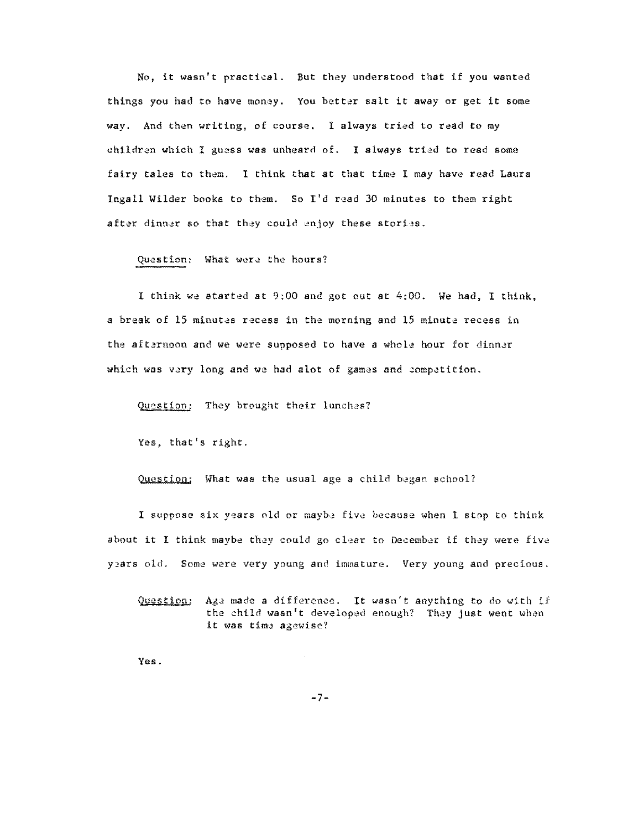No, it wasn't practical. But they understood that if you wanted things you had to have money. You better salt it away or get it some way. And then writing, of course. 1 always tried to read to my children which I guess was unheard of. I always tried to read some fairy tales to them. I think that at that time I may have read Laura Ingall Wilder books to them. So  $I'$ d read 30 minutes to them right after dinner so that they could enjoy these stories.

#### Question: What were the hours?

I think we started at  $9:00$  and got out at  $4:00$ . We had, I think, a break of 15 minutes recess in the morning and 15 minute recess in the afternoon and we were supposed to have a whole hour for dinner which was very long and we had alot of games and competition.

Question: They brought their lunches?

Yes, that's right.

Question; What was the usual age a child began school?

I suppose six years old or maybe five because when I stop to think about it I think maybe they could go clear to December if they were five years old. Some were very young and immature. Very young and precious.

Question: Age made a difference. It wasn't anything to do with if the child wasn't developed enough? They just went when it was time agewise?

Yes.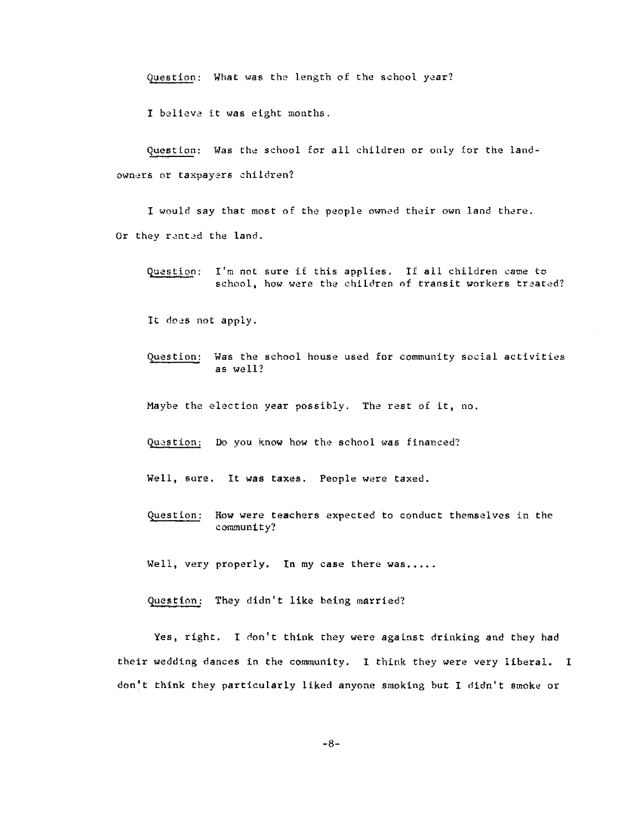Question: What was the length of the school year?

**I believa it was eight months.** 

Question: Was the school for all children or only for the landowners or taxpayers children?

I would say that most of the people owned their own land there. Or they rented the land.

Question: I'm not sure if this applies. If all children came to school, how were the children of transit workers treated?

It does not apply.

Question: Was the school house used for community social activities **as well?** 

Maybe the election year possibly. The rest of it, no.

Question: Do you know how the school was financed?

Well, sure, It was taxes. People were taxed.

Question: How were teachers expected to conduct themselves in the **community?** 

Well, very properly. In my case there was.....

Question: They didn't like being married?

Yes, right. I don't think they were against drinking and they had their wedding dances in the community. I think they were very liberal. I don't think they particularly liked anyone smoking but 1 didn't smoke or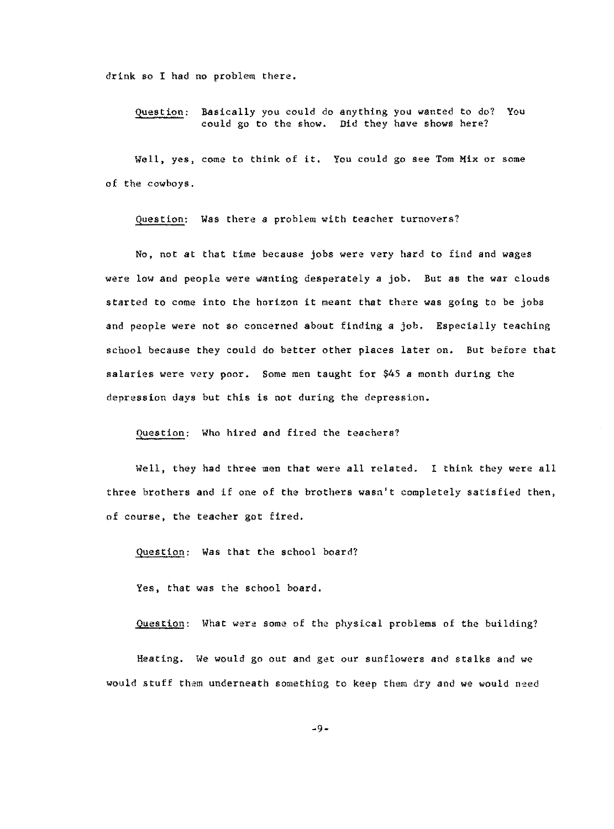drink so I had no problem there.

Question: Basically you could do anything you wanted to do? You could go to the show. Did they have shows here?

Well, yes, come to think of it. You could go see Tom Mix or some of the cowboys.

Question: Was there a problem with teacher turnovers?

No, not at that time because jobs were very hard to find and wages were low and people were wanting desperately a job. But as the war clouds started to come into the horizon it meant that there was going to be jobs and people were not so concerned about finding a job. Especially teaching school because they could do better other places later on. But before that salaries were very poor. Some men taught for \$45 a month during the depression days but this is not during the depression.

Question: Who hired and fired the teachers?

Well, they had three men that were all related. I think they were all three brothers and if one of the brothers wasn't completely satisfied then, of course, the teacher got fired.

Question: Was that the school board?

Yes, that was the school board.

Question: What were some of the physical problems of the building?

Heating. We would go out and get our sunflowers and stalks and we would stuff them underneath something to keep them dry and we would need

 $-9-$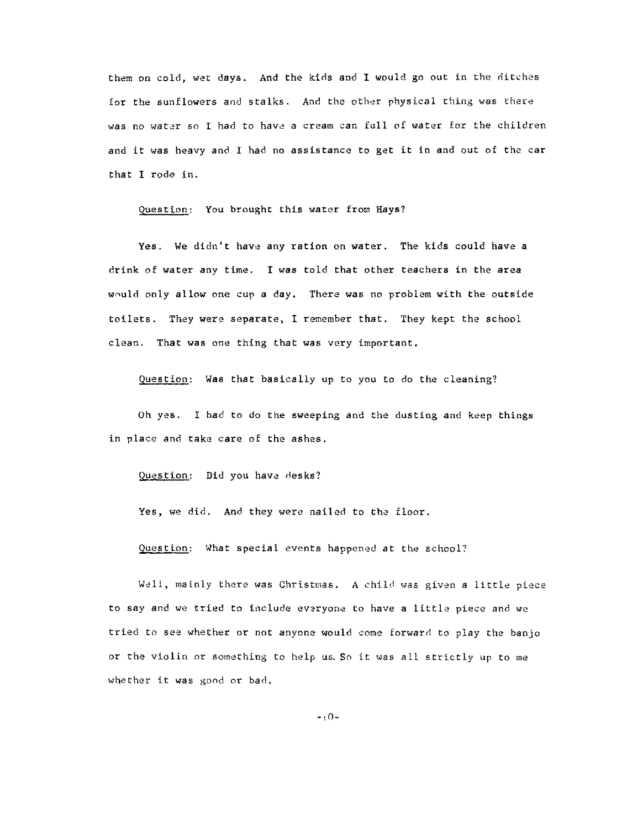them on cold, wet days. And the kids and I would go out in the ditches for the sunflowers and stalks. And the other physical thing was there was no water so I had to have a cream can full of water for the children and it was heavy and I had no assistance to get it in and out of the car that I rode in.

Question: You brought this water from Hays?

Yes. We didn't have any ration on water. The kids could have *a*  drink of water any time. I was told that other teachers in the area would only allow one cup a day. There was no problem with the outside toilets. They were separate, I remember that. They kept the school clean. That was one thing that was very important.

Question: Was that basically up to you to do the cleaning?

Oh yes. I had to do the sweeping and the dusting and keep things in place and take care of the ashes.

Question: Did you have desks?

Yes, we did. And they were nailed to the floor.

Question: What special events happened at the school?

Well, mainly there was Christmas. A child was given a little piece *to* say and we tried to include evaryone to have a little piece and we tried to see whether or not anyone would come forward to play the banjo or the violin or something to help us. So it was all strictly up to me whether it was good or bad.

 $-0 -$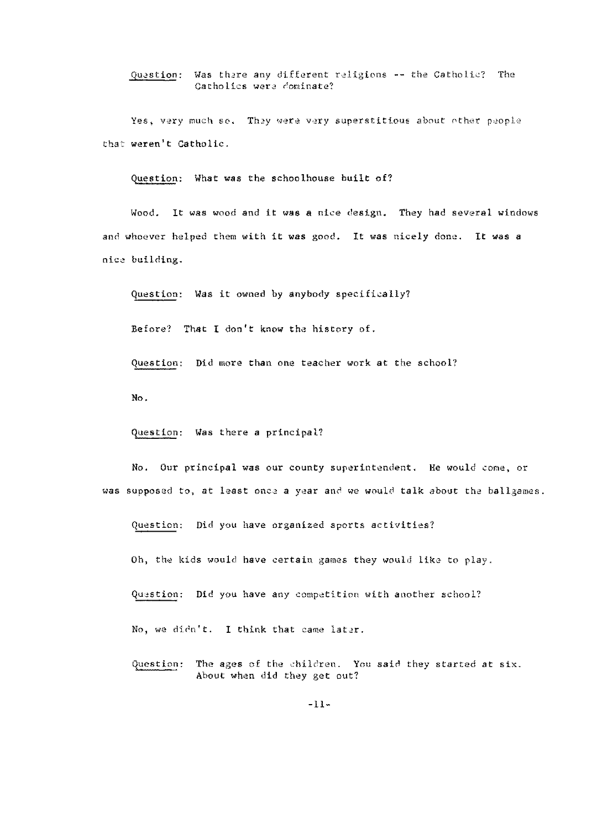Question: Was there any different religions -- the Catholic? The Catholics were cominate?

Yes, very much so. They were very superstitious about other people that weren't Catholic.

Question: What was the schoolhouse built of?

Wood. It was wood and it was a nice design. They had several windows and whoever helped them with it was good. It was nicely done. It was a nice building.

Question: Was it owned by anybody specifically?

Before? That I don't know the history of.

Question: Did more than one teacher work at the school?

No.

Question: Was there a principal?

No. Our principal was our county superintendent. He would come, or was supposed to, at least once a year and we would talk about the ballgames.

Question: Did you have organized sports activities?

Oh, the kids would have certain games they would like to play.

Question: Did you have any competition with another school?

No, we didn't. I think that came later.

Question: The ages of the children. You said they started at six. About when did they get out?

-11-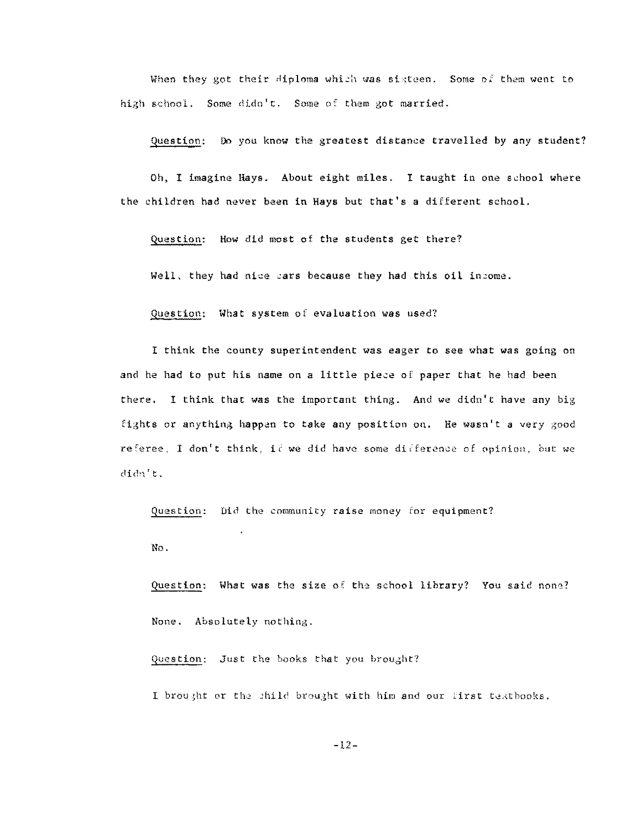When they got their diploma which was sixteen. Some of them went to high school. Some didn't. Some of them got married.

Question: Do you know the greatest distance travelled by any student?

Oh, I imagine Hays. About eight miles. I taught in one school where the children had never been in Hays but that's a different school.

Question: How did most of the students get there?

Well, they had nice cars because they had this oil income.

Question: What system of evaluation was used?

I think the county superintendent was eager to see what was going on and he had to put his name on a little piece of paper that he bad been there, I think that was the important thing. And we didn't have any big fights or anything happen to take any position on. He wasn't a very good referee, I don't think, it we did have some difference of opinion, but we didn't:.

Question: Did the community raise money for equipment?

No.

Question: What was the size of the school library? You said none? None. Absolutely nothing.

Question: Just the books that you brought?

 $\overline{\phantom{a}}$ 

I brought or the shild brought with him and our first textbooks.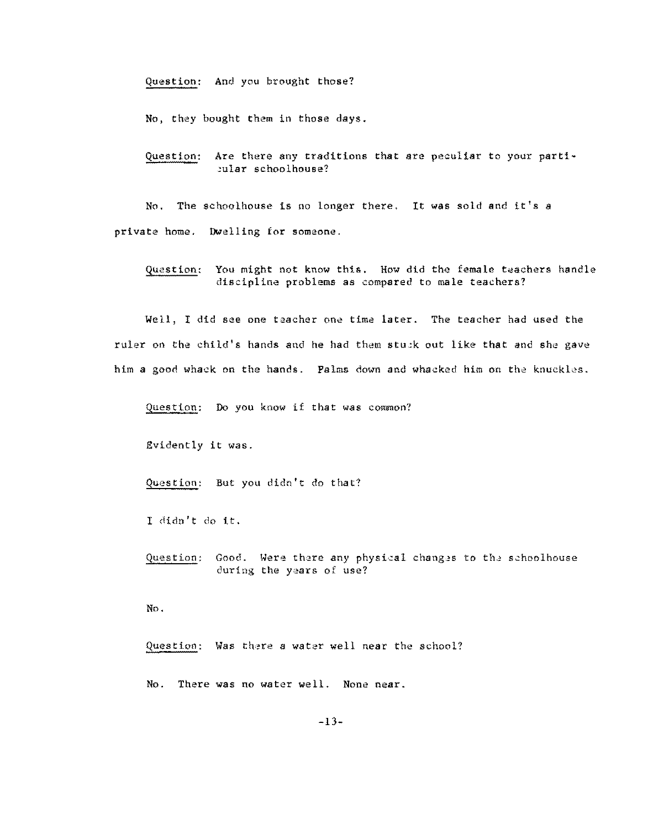Question: And you brought those?

No, they bought them in those days.

Question: Are there any traditions that are peculiar to your partioular schoolhouse?

No, The schoolhouse is no longer there. lt was sold and it's a private home. Dwelling for someone.

Question: You might not know this. How did the female teachers handle discipline problems as compared to male teachers?

Well, I did see one teacher one time later. The teacher had used the ruler on the child's hands and he had them stuck out like that and she gave him a good whack on the hands. Palms down and whacked him on the knuckles.

Question: Do you know if that was common?

Evidently it was.

Question: But you didn't do that?

I didn't do it.

Question: Good. Were there any physical changes to the schoolhouse **during the years of use?** 

No.

Question: Was there a water well near the school?

No. There was no water well. None near.

-13-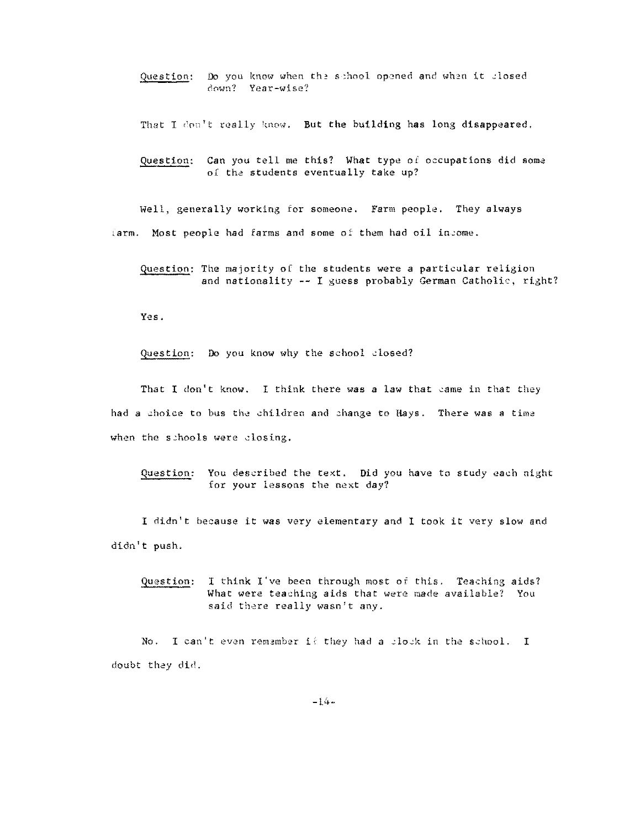Question: Do you know when the school opened and when it closed down? Year-wise?

That I don't really know. But the building has long disappeared.

Question: Can you tell me this? What type of occupations did some of the students eventually take up?

Well, generally working for someone. Farm people. They always  $i$ arm. Most people had farms and some of them had oil income.

Question: The majority of the students were a particular religion and nationality  $--$  I guess probably German Catholic, right?

Yes.

Question: **Do** you know why the school closed?

That I don't know. I think there was a law that came in that they had a choice to bus the children and change to Hays. There was a time when the schools were closing.

Question: You described the text. Did you have to study each night for your lessons the next **day?** 

I didn't because it was very elementary and I took it very slow and didn't push.

Question: I think I've been through most of this. Teaching aids? What were teaching aids that were made available? You said there really wasn't any.

No. I can't even remamber if they had a clock in the school. I doubt they did.

 $-14-$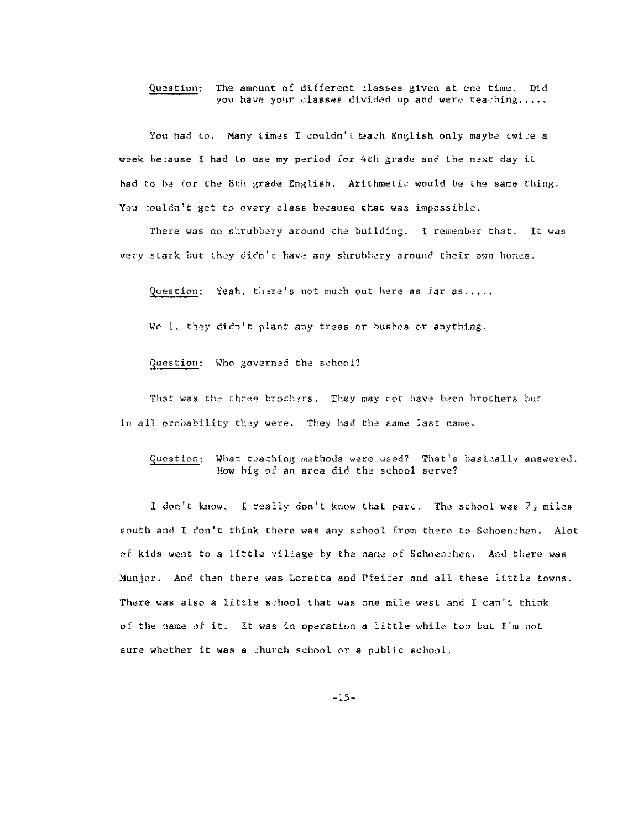#### Question: The amount of different :lasses given at one time. Did you have your classes divided up and were teaching.....

You had to. Many times I couldn't teach English only maybe twice a week be,ause I had to use my period for 4th grade and the next day it had to be for the 8th grade English. Arithmetic would be the same thing. You :ouldn't get to every class because that was impossible.

There was no shrubbery around the building. I remember that. It was very stark but they didn't have any shrubbery around their own homes.

Question; Yeah, there's not much out here as far as.....

Well, they didn't plant any trees or bushes or anything.

Question: Who governed the school?

That was the three brothers. They may not have been brothers but in all probability they were. They had the same last name.

Question: What teaching methods were used? That's basically answered. How big of an area did the school serve?

I don't know. I really don't know that part. The school was  $7<sub>2</sub>$  miles south and I don't think there was any school from there to Schoenchen. Alot of kids went to a little village by the name of Schoenchen. And there was Munjor. And then there was Loretta and Pfeifer and all these little towns. There was also a little sehool that was one mile west and I can't think of the name of it. It was in operation a little while too but I'm not sure whether it was a church school or a public school.

-15-